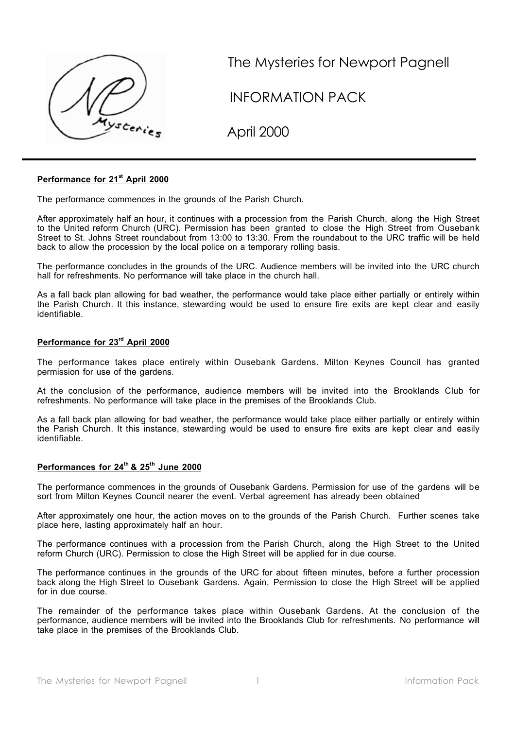

The Mysteries for Newport Pagnell

INFORMATION PACK

April 2000

## **Performance for 21st April 2000**

The performance commences in the grounds of the Parish Church.

After approximately half an hour, it continues with a procession from the Parish Church, along the High Street to the United reform Church (URC). Permission has been granted to close the High Street from Ousebank Street to St. Johns Street roundabout from 13:00 to 13:30. From the roundabout to the URC traffic will be held back to allow the procession by the local police on a temporary rolling basis.

The performance concludes in the grounds of the URC. Audience members will be invited into the URC church hall for refreshments. No performance will take place in the church hall.

As a fall back plan allowing for bad weather, the performance would take place either partially or entirely within the Parish Church. It this instance, stewarding would be used to ensure fire exits are kept clear and easily identifiable.

## **Performance for 23rd April 2000**

The performance takes place entirely within Ousebank Gardens. Milton Keynes Council has granted permission for use of the gardens.

At the conclusion of the performance, audience members will be invited into the Brooklands Club for refreshments. No performance will take place in the premises of the Brooklands Club.

As a fall back plan allowing for bad weather, the performance would take place either partially or entirely within the Parish Church. It this instance, stewarding would be used to ensure fire exits are kept clear and easily identifiable.

## **Performances for 24th & 25th June 2000**

The performance commences in the grounds of Ousebank Gardens. Permission for use of the gardens will be sort from Milton Keynes Council nearer the event. Verbal agreement has already been obtained

After approximately one hour, the action moves on to the grounds of the Parish Church. Further scenes take place here, lasting approximately half an hour.

The performance continues with a procession from the Parish Church, along the High Street to the United reform Church (URC). Permission to close the High Street will be applied for in due course.

The performance continues in the grounds of the URC for about fifteen minutes, before a further procession back along the High Street to Ousebank Gardens. Again, Permission to close the High Street will be applied for in due course.

The remainder of the performance takes place within Ousebank Gardens. At the conclusion of the performance, audience members will be invited into the Brooklands Club for refreshments. No performance will take place in the premises of the Brooklands Club.